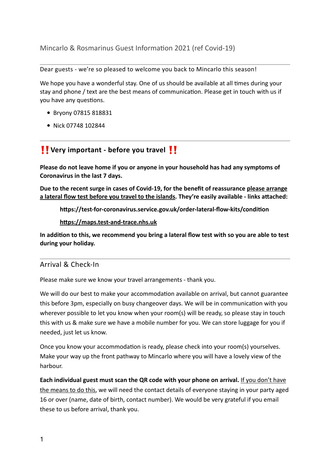Mincarlo & Rosmarinus Guest Information 2021 (ref Covid-19)

Dear guests - we're so pleased to welcome you back to Mincarlo this season!

We hope you have a wonderful stay. One of us should be available at all times during your stay and phone / text are the best means of communication. Please get in touch with us if you have any questions.

- Bryony 07815 818831
- Nick 07748 102844

# ‼ **Very important - before you travel** ‼

**Please do not leave home if you or anyone in your household has had any symptoms of Coronavirus in the last 7 days.**

**Due to the recent surge in cases of Covid-19, for the benefit of reassurance please arrange a lateral flow test before you travel to the islands. They're easily available - links attached:** 

**https://test-for-coronavirus.service.gov.uk/order-lateral-flow-kits/condition**

**<https://maps.test-and-trace.nhs.uk>**

**In addition to this, we recommend you bring a lateral flow test with so you are able to test during your holiday.**

## Arrival & Check-In

Please make sure we know your travel arrangements - thank you.

We will do our best to make your accommodation available on arrival, but cannot guarantee this before 3pm, especially on busy changeover days. We will be in communication with you wherever possible to let you know when your room(s) will be ready, so please stay in touch this with us & make sure we have a mobile number for you. We can store luggage for you if needed, just let us know.

Once you know your accommodation is ready, please check into your room(s) yourselves. Make your way up the front pathway to Mincarlo where you will have a lovely view of the harbour.

**Each individual guest must scan the QR code with your phone on arrival.** If you don't have the means to do this, we will need the contact details of everyone staying in your party aged 16 or over (name, date of birth, contact number). We would be very grateful if you email these to us before arrival, thank you.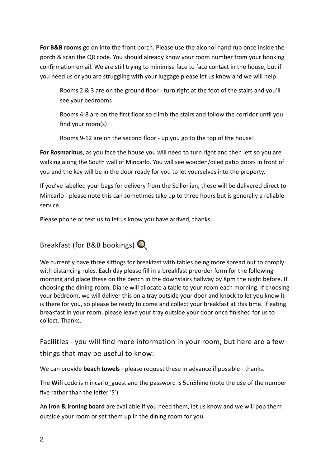**For B&B rooms** go on into the front porch. Please use the alcohol hand rub once inside the porch & scan the QR code. You should already know your room number from your booking confirmation email. We are still trying to minimise face to face contact in the house, but if you need us or you are struggling with your luggage please let us know and we will help.

Rooms 2 & 3 are on the ground floor - turn right at the foot of the stairs and you'll see your bedrooms

Rooms 4-8 are on the first floor so climb the stairs and follow the corridor until you find your room(s)

Rooms 9-12 are on the second floor - up you go to the top of the house!

**For Rosmarinus**, as you face the house you will need to turn right and then left so you are walking along the South wall of Mincarlo. You will see wooden/oiled patio doors in front of you and the key will be in the door ready for you to let yourselves into the property.

If you've labelled your bags for delivery from the Scillonian, these will be delivered direct to Mincarlo - please note this can sometimes take up to three hours but is generally a reliable service.

Please phone or text us to let us know you have arrived, thanks.

Breakfast (for B&B bookings)

We currently have three sittings for breakfast with tables being more spread out to comply with distancing rules. Each day please fill in a breakfast preorder form for the following morning and place these on the bench in the downstairs hallway by 8pm the night before. If choosing the dining-room, Diane will allocate a table to your room each morning. If choosing your bedroom, we will deliver this on a tray outside your door and knock to let you know it is there for you, so please be ready to come and collect your breakfast at this time. If eating breakfast in your room, please leave your tray outside your door once finished for us to collect. Thanks.

Facilities - you will find more information in your room, but here are a few things that may be useful to know:

We can provide **beach towels** - please request these in advance if possible - thanks.

The **Wifi** code is mincarlo guest and the password is 5un5hine (note the use of the number five rather than the letter 'S')

An **iron & ironing board** are available if you need them, let us know and we will pop them outside your room or set them up in the dining room for you.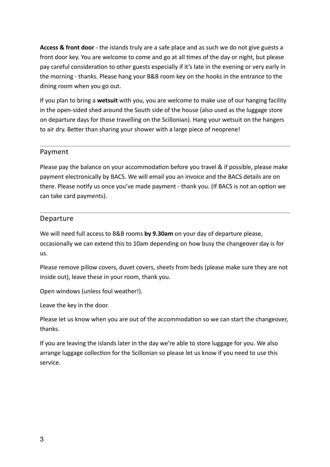**Access & front door** - the islands truly are a safe place and as such we do not give guests a front door key. You are welcome to come and go at all times of the day or night, but please pay careful consideration to other guests especially if it's late in the evening or very early in the morning - thanks. Please hang your B&B room key on the hooks in the entrance to the dining room when you go out.

If you plan to bring a **wetsuit** with you, you are welcome to make use of our hanging facility in the open-sided shed around the South side of the house (also used as the luggage store on departure days for those travelling on the Scillonian). Hang your wetsuit on the hangers to air dry. Better than sharing your shower with a large piece of neoprene!

### Payment

Please pay the balance on your accommodation before you travel & if possible, please make payment electronically by BACS. We will email you an invoice and the BACS details are on there. Please notify us once you've made payment - thank you. (If BACS is not an option we can take card payments).

#### Departure

We will need full access to B&B rooms **by 9.30am** on your day of departure please, occasionally we can extend this to 10am depending on how busy the changeover day is for us.

Please remove pillow covers, duvet covers, sheets from beds (please make sure they are not inside out), leave these in your room, thank you.

Open windows (unless foul weather!).

Leave the key in the door.

Please let us know when you are out of the accommodation so we can start the changeover, thanks.

If you are leaving the islands later in the day we're able to store luggage for you. We also arrange luggage collection for the Scillonian so please let us know if you need to use this service.